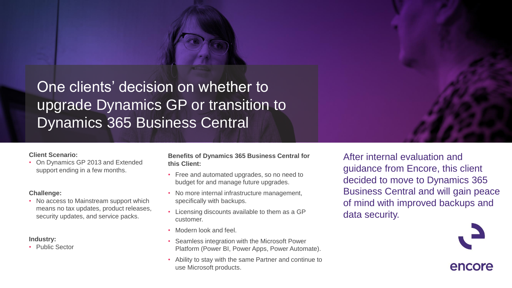

One clients' decision on whether to upgrade Dynamics GP or transition to Dynamics 365 Business Central

## **Client Scenario:**

• On Dynamics GP 2013 and Extended support ending in a few months.

## **Challenge:**

• No access to Mainstream support which means no tax updates, product releases, security updates, and service packs.

## **Industry:**

• Public Sector

**Benefits of Dynamics 365 Business Central for this Client:** 

- Free and automated upgrades, so no need to budget for and manage future upgrades.
- No more internal infrastructure management, specifically with backups.
- Licensing discounts available to them as a GP customer.
- Modern look and feel.
- Seamless integration with the Microsoft Power Platform (Power BI, Power Apps, Power Automate).
- Ability to stay with the same Partner and continue to use Microsoft products.

After internal evaluation and guidance from Encore, this client decided to move to Dynamics 365 Business Central and will gain peace of mind with improved backups and data security.



encore